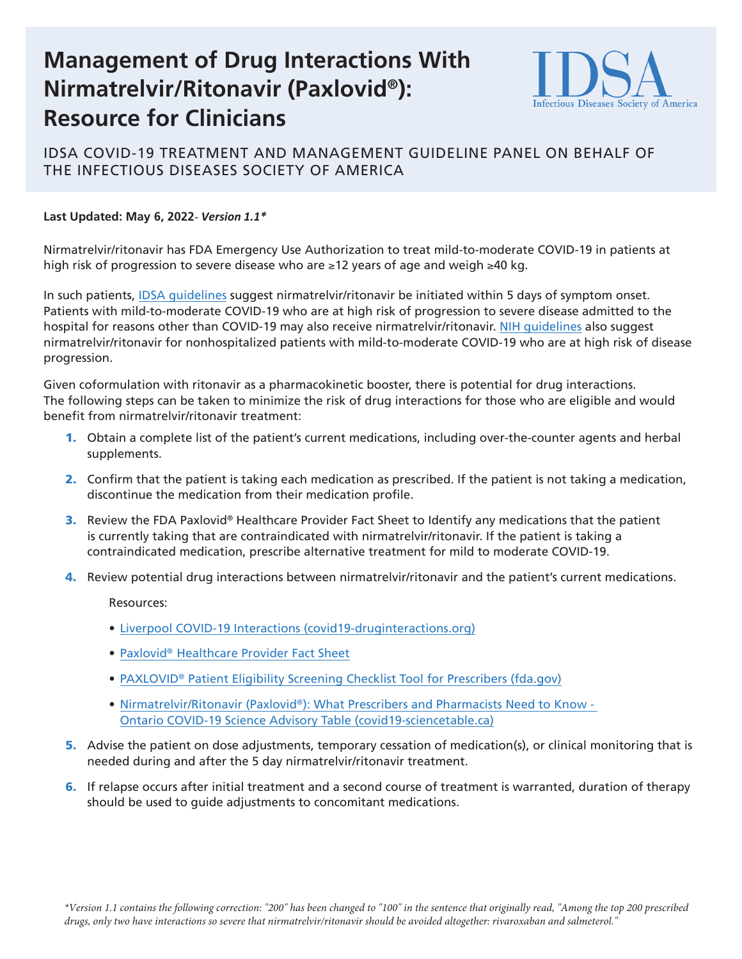# **Management of Drug Interactions With Nirmatrelvir/Ritonavir (Paxlovid®): Resource for Clinicians**



## IDSA COVID-19 TREATMENT AND MANAGEMENT GUIDELINE PANEL ON BEHALF OF THE INFECTIOUS DISEASES SOCIETY OF AMERICA

### **Last Updated: May 6, 2022-** *Version 1.1\**

Nirmatrelvir/ritonavir has FDA Emergency Use Authorization to treat mild-to-moderate COVID-19 in patients at high risk of progression to severe disease who are ≥12 years of age and weigh ≥40 kg.

In such patients, [IDSA guidelines](https://www.idsociety.org/practice-guideline/covid-19-guideline-treatment-and-management/#toc-18) suggest nirmatrelvir/ritonavir be initiated within 5 days of symptom onset. Patients with mild-to-moderate COVID-19 who are at high risk of progression to severe disease admitted to the hospital for reasons other than COVID-19 may also receive nirmatrelvir/ritonavir. [NIH guidelines](https://www.covid19treatmentguidelines.nih.gov/therapies/statement-on-therapies-for-high-risk-nonhospitalized-patients/) also suggest nirmatrelvir/ritonavir for nonhospitalized patients with mild-to-moderate COVID-19 who are at high risk of disease progression.

Given coformulation with ritonavir as a pharmacokinetic booster, there is potential for drug interactions. The following steps can be taken to minimize the risk of drug interactions for those who are eligible and would benefit from nirmatrelvir/ritonavir treatment:

- 1. Obtain a complete list of the patient's current medications, including over-the-counter agents and herbal supplements.
- 2. Confirm that the patient is taking each medication as prescribed. If the patient is not taking a medication, discontinue the medication from their medication profile.
- **3.** Review the FDA Paxlovid® Healthcare Provider Fact Sheet to Identify any medications that the patient is currently taking that are contraindicated with nirmatrelvir/ritonavir. If the patient is taking a contraindicated medication, prescribe alternative treatment for mild to moderate COVID-19.
- 4. Review potential drug interactions between nirmatrelvir/ritonavir and the patient's current medications.

Resources:

- [Liverpool COVID-19 Interactions \(covid19-druginteractions.org\)](https://www.covid19-druginteractions.org/checker)
- [Paxlovid® Healthcare Provider Fact Sheet](https://www.fda.gov/media/155050/download)
- [PAXLOVID® Patient Eligibility Screening Checklist Tool for Prescribers \(fda.gov\)](https://www.fda.gov/media/158165/download)
- Nirmatrelvir/Ritonavir (Paxlovid®): What Prescribers and Pharmacists Need to Know -[Ontario COVID-19 Science Advisory Table \(covid19-sciencetable.ca\)](https://covid19-sciencetable.ca/sciencebrief/nirmatrelvir-ritonavir-paxlovid-what-prescribers-and-pharmacists-need-to-know-2-0/)
- 5. Advise the patient on dose adjustments, temporary cessation of medication(s), or clinical monitoring that is needed during and after the 5 day nirmatrelvir/ritonavir treatment.
- 6. If relapse occurs after initial treatment and a second course of treatment is warranted, duration of therapy should be used to guide adjustments to concomitant medications.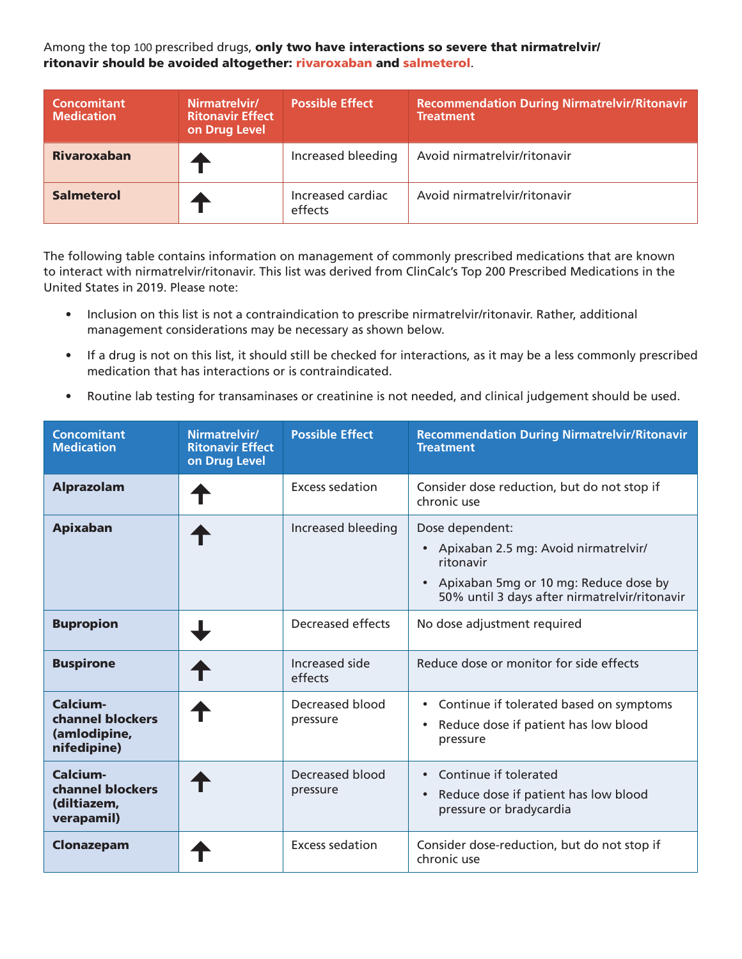Among the top 100 prescribed drugs, only two have interactions so severe that nirmatrelvir/ ritonavir should be avoided altogether: rivaroxaban and salmeterol.

| Concomitant<br><b>Medication</b> | Nirmatrelvir/<br><b>Ritonavir Effect</b><br>on Drug Level | <b>Possible Effect</b>       | <b>Recommendation During Nirmatrelvir/Ritonavir</b><br><b>Treatment</b> |
|----------------------------------|-----------------------------------------------------------|------------------------------|-------------------------------------------------------------------------|
| <b>Rivaroxaban</b>               |                                                           | Increased bleeding           | Avoid nirmatrelvir/ritonavir                                            |
| <b>Salmeterol</b>                |                                                           | Increased cardiac<br>effects | Avoid nirmatrelvir/ritonavir                                            |

The following table contains information on management of commonly prescribed medications that are known to interact with nirmatrelvir/ritonavir. This list was derived from ClinCalc's Top 200 Prescribed Medications in the United States in 2019. Please note:

- Inclusion on this list is not a contraindication to prescribe nirmatrelvir/ritonavir. Rather, additional management considerations may be necessary as shown below.
- If a drug is not on this list, it should still be checked for interactions, as it may be a less commonly prescribed medication that has interactions or is contraindicated.
- Routine lab testing for transaminases or creatinine is not needed, and clinical judgement should be used.

| <b>Concomitant</b><br><b>Medication</b>                     | Nirmatrelvir/<br><b>Ritonavir Effect</b><br>on Drug Level | <b>Possible Effect</b>      | <b>Recommendation During Nirmatrelvir/Ritonavir</b><br><b>Treatment</b>                                                                                                                  |
|-------------------------------------------------------------|-----------------------------------------------------------|-----------------------------|------------------------------------------------------------------------------------------------------------------------------------------------------------------------------------------|
| <b>Alprazolam</b>                                           |                                                           | Excess sedation             | Consider dose reduction, but do not stop if<br>chronic use                                                                                                                               |
| <b>Apixaban</b>                                             |                                                           | Increased bleeding          | Dose dependent:<br>Apixaban 2.5 mg: Avoid nirmatrelvir/<br>$\bullet$<br>ritonavir<br>Apixaban 5mg or 10 mg: Reduce dose by<br>$\bullet$<br>50% until 3 days after nirmatrelvir/ritonavir |
| <b>Bupropion</b>                                            |                                                           | Decreased effects           | No dose adjustment required                                                                                                                                                              |
| <b>Buspirone</b>                                            |                                                           | Increased side<br>effects   | Reduce dose or monitor for side effects                                                                                                                                                  |
| Calcium-<br>channel blockers<br>(amlodipine,<br>nifedipine) |                                                           | Decreased blood<br>pressure | Continue if tolerated based on symptoms<br>$\bullet$<br>Reduce dose if patient has low blood<br>$\bullet$<br>pressure                                                                    |
| Calcium-<br>channel blockers<br>(diltiazem,<br>verapamil)   |                                                           | Decreased blood<br>pressure | Continue if tolerated<br>$\bullet$<br>Reduce dose if patient has low blood<br>$\bullet$<br>pressure or bradycardia                                                                       |
| Clonazepam                                                  |                                                           | <b>Excess sedation</b>      | Consider dose-reduction, but do not stop if<br>chronic use                                                                                                                               |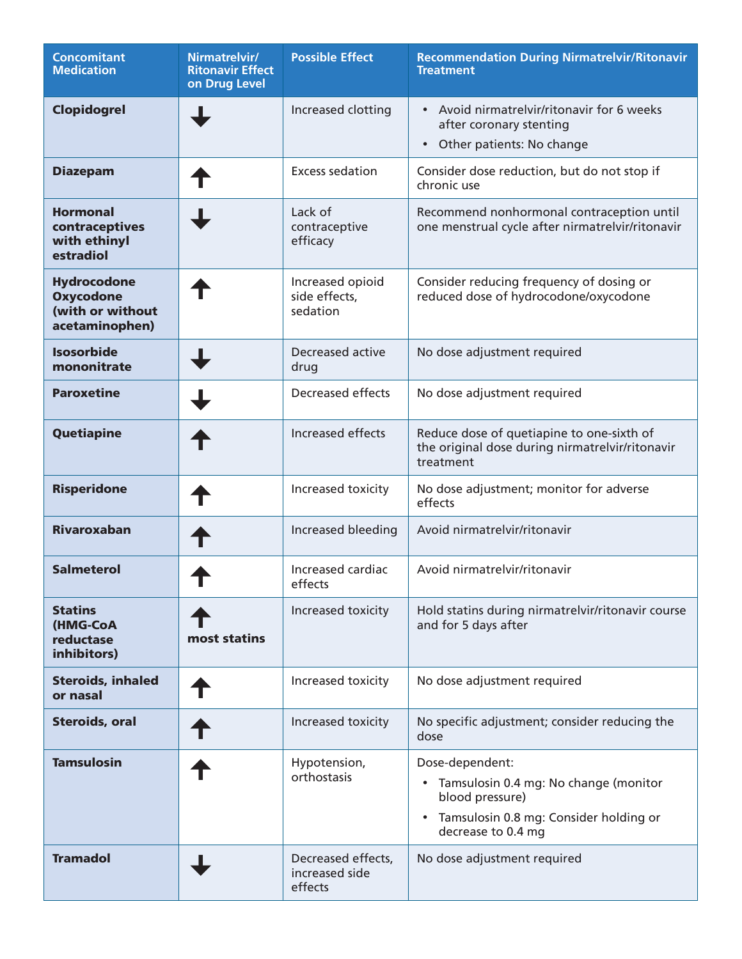| <b>Concomitant</b><br><b>Medication</b>                                      | Nirmatrelvir/<br><b>Ritonavir Effect</b><br>on Drug Level | <b>Possible Effect</b>                          | <b>Recommendation During Nirmatrelvir/Ritonavir</b><br><b>Treatment</b>                                                                                               |
|------------------------------------------------------------------------------|-----------------------------------------------------------|-------------------------------------------------|-----------------------------------------------------------------------------------------------------------------------------------------------------------------------|
| <b>Clopidogrel</b>                                                           |                                                           | Increased clotting                              | • Avoid nirmatrelvir/ritonavir for 6 weeks<br>after coronary stenting<br>Other patients: No change<br>$\bullet$                                                       |
| <b>Diazepam</b>                                                              |                                                           | <b>Excess sedation</b>                          | Consider dose reduction, but do not stop if<br>chronic use                                                                                                            |
| <b>Hormonal</b><br>contraceptives<br>with ethinyl<br>estradiol               |                                                           | Lack of<br>contraceptive<br>efficacy            | Recommend nonhormonal contraception until<br>one menstrual cycle after nirmatrelvir/ritonavir                                                                         |
| <b>Hydrocodone</b><br><b>Oxycodone</b><br>(with or without<br>acetaminophen) |                                                           | Increased opioid<br>side effects,<br>sedation   | Consider reducing frequency of dosing or<br>reduced dose of hydrocodone/oxycodone                                                                                     |
| <b>Isosorbide</b><br>mononitrate                                             |                                                           | <b>Decreased active</b><br>drug                 | No dose adjustment required                                                                                                                                           |
| <b>Paroxetine</b>                                                            |                                                           | <b>Decreased effects</b>                        | No dose adjustment required                                                                                                                                           |
| Quetiapine                                                                   |                                                           | Increased effects                               | Reduce dose of quetiapine to one-sixth of<br>the original dose during nirmatrelvir/ritonavir<br>treatment                                                             |
| <b>Risperidone</b>                                                           |                                                           | Increased toxicity                              | No dose adjustment; monitor for adverse<br>effects                                                                                                                    |
| <b>Rivaroxaban</b>                                                           |                                                           | Increased bleeding                              | Avoid nirmatrelvir/ritonavir                                                                                                                                          |
| <b>Salmeterol</b>                                                            |                                                           | Increased cardiac<br>effects                    | Avoid nirmatrelvir/ritonavir                                                                                                                                          |
| <b>Statins</b><br>(HMG-CoA<br>reductase<br>inhibitors)                       | most statins                                              | Increased toxicity                              | Hold statins during nirmatrelvir/ritonavir course<br>and for 5 days after                                                                                             |
| <b>Steroids, inhaled</b><br>or nasal                                         |                                                           | Increased toxicity                              | No dose adjustment required                                                                                                                                           |
| <b>Steroids, oral</b>                                                        |                                                           | Increased toxicity                              | No specific adjustment; consider reducing the<br>dose                                                                                                                 |
| <b>Tamsulosin</b>                                                            |                                                           | Hypotension,<br>orthostasis                     | Dose-dependent:<br>Tamsulosin 0.4 mg: No change (monitor<br>$\bullet$<br>blood pressure)<br>Tamsulosin 0.8 mg: Consider holding or<br>$\bullet$<br>decrease to 0.4 mg |
| <b>Tramadol</b>                                                              |                                                           | Decreased effects,<br>increased side<br>effects | No dose adjustment required                                                                                                                                           |